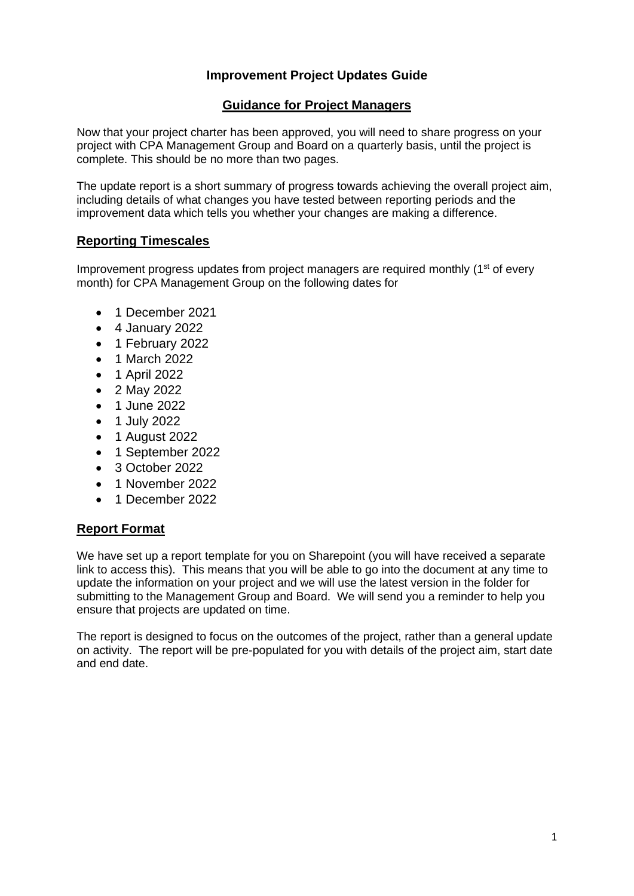# **Improvement Project Updates Guide**

# **Guidance for Project Managers**

Now that your project charter has been approved, you will need to share progress on your project with CPA Management Group and Board on a quarterly basis, until the project is complete. This should be no more than two pages.

The update report is a short summary of progress towards achieving the overall project aim, including details of what changes you have tested between reporting periods and the improvement data which tells you whether your changes are making a difference.

# **Reporting Timescales**

Improvement progress updates from project managers are required monthly (1<sup>st</sup> of every month) for CPA Management Group on the following dates for

- 1 December 2021
- 4 January 2022
- 1 February 2022
- 1 March 2022
- 1 April 2022
- 2 May 2022
- 1 June 2022
- 1 July 2022
- 1 August 2022
- 1 September 2022
- 3 October 2022
- 1 November 2022
- 1 December 2022

# **Report Format**

We have set up a report template for you on Sharepoint (you will have received a separate link to access this). This means that you will be able to go into the document at any time to update the information on your project and we will use the latest version in the folder for submitting to the Management Group and Board. We will send you a reminder to help you ensure that projects are updated on time.

The report is designed to focus on the outcomes of the project, rather than a general update on activity. The report will be pre-populated for you with details of the project aim, start date and end date.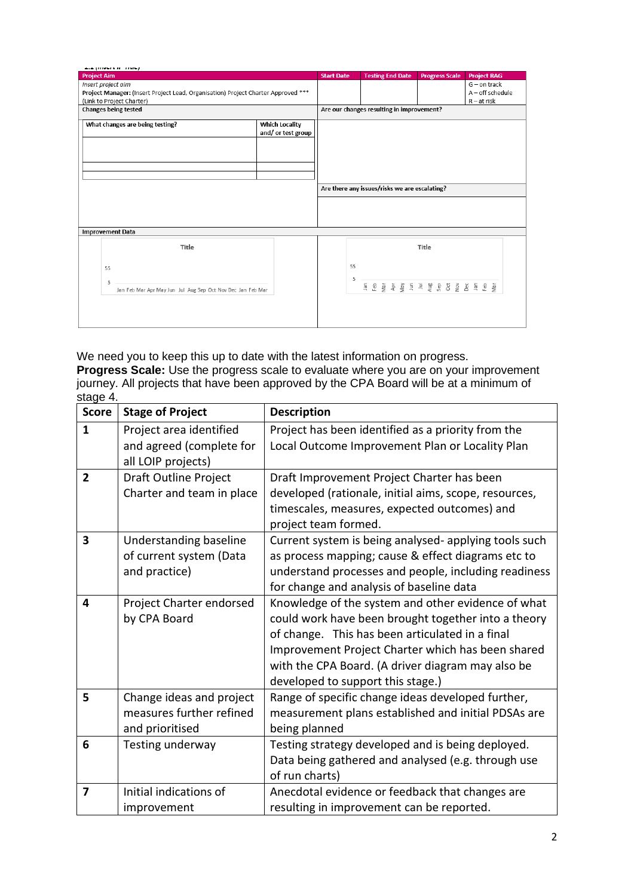| and provide in these p                                                            |                       |                                               |    |                         |  |  |       |  |                       |  |                    |  |
|-----------------------------------------------------------------------------------|-----------------------|-----------------------------------------------|----|-------------------------|--|--|-------|--|-----------------------|--|--------------------|--|
| <b>Project Aim</b>                                                                |                       | <b>Start Date</b>                             |    | <b>Testing End Date</b> |  |  |       |  | <b>Progress Scale</b> |  | <b>Project RAG</b> |  |
| Insert project aim                                                                |                       |                                               |    |                         |  |  |       |  |                       |  | $G$ – on track     |  |
| Project Manager: (Insert Project Lead, Organisation) Project Charter Approved *** |                       |                                               |    |                         |  |  |       |  |                       |  | $A$ – off schedule |  |
| (Link to Project Charter)                                                         |                       |                                               |    |                         |  |  |       |  |                       |  | $R - at$ risk      |  |
| Changes being tested                                                              |                       | Are our changes resulting in improvement?     |    |                         |  |  |       |  |                       |  |                    |  |
| What changes are being testing?                                                   | <b>Which Locality</b> |                                               |    |                         |  |  |       |  |                       |  |                    |  |
|                                                                                   | and/or test group     |                                               |    |                         |  |  |       |  |                       |  |                    |  |
|                                                                                   |                       |                                               |    |                         |  |  |       |  |                       |  |                    |  |
|                                                                                   |                       |                                               |    |                         |  |  |       |  |                       |  |                    |  |
|                                                                                   |                       |                                               |    |                         |  |  |       |  |                       |  |                    |  |
|                                                                                   |                       |                                               |    |                         |  |  |       |  |                       |  |                    |  |
|                                                                                   |                       |                                               |    |                         |  |  |       |  |                       |  |                    |  |
|                                                                                   |                       |                                               |    |                         |  |  |       |  |                       |  |                    |  |
|                                                                                   |                       | Are there any issues/risks we are escalating? |    |                         |  |  |       |  |                       |  |                    |  |
|                                                                                   |                       |                                               |    |                         |  |  |       |  |                       |  |                    |  |
|                                                                                   |                       |                                               |    |                         |  |  |       |  |                       |  |                    |  |
|                                                                                   |                       |                                               |    |                         |  |  |       |  |                       |  |                    |  |
| <b>Improvement Data</b>                                                           |                       |                                               |    |                         |  |  |       |  |                       |  |                    |  |
|                                                                                   |                       |                                               |    |                         |  |  |       |  |                       |  |                    |  |
| Title                                                                             |                       |                                               |    |                         |  |  | Title |  |                       |  |                    |  |
|                                                                                   |                       |                                               |    |                         |  |  |       |  |                       |  |                    |  |
| 55                                                                                |                       |                                               | 55 |                         |  |  |       |  |                       |  |                    |  |
|                                                                                   |                       |                                               | 5  |                         |  |  |       |  |                       |  |                    |  |
| 5                                                                                 |                       |                                               |    | 19 他の時には、それは、それは、       |  |  |       |  |                       |  |                    |  |
| Jan Feb Mar Apr May Jun Jul Aug Sep Oct Nov Dec Jan Feb Mar                       |                       |                                               |    |                         |  |  |       |  |                       |  |                    |  |
|                                                                                   |                       |                                               |    |                         |  |  |       |  |                       |  |                    |  |
|                                                                                   |                       |                                               |    |                         |  |  |       |  |                       |  |                    |  |
|                                                                                   |                       |                                               |    |                         |  |  |       |  |                       |  |                    |  |
|                                                                                   |                       |                                               |    |                         |  |  |       |  |                       |  |                    |  |

We need you to keep this up to date with the latest information on progress. **Progress Scale:** Use the progress scale to evaluate where you are on your improvement journey. All projects that have been approved by the CPA Board will be at a minimum of stage 4

| <b>Score</b>   | <b>Stage of Project</b>                                                 | <b>Description</b>                                                                                                                                                                                                                                                                                          |
|----------------|-------------------------------------------------------------------------|-------------------------------------------------------------------------------------------------------------------------------------------------------------------------------------------------------------------------------------------------------------------------------------------------------------|
| $\mathbf{1}$   | Project area identified<br>and agreed (complete for                     | Project has been identified as a priority from the<br>Local Outcome Improvement Plan or Locality Plan                                                                                                                                                                                                       |
|                | all LOIP projects)                                                      |                                                                                                                                                                                                                                                                                                             |
| $\overline{2}$ | Draft Outline Project<br>Charter and team in place                      | Draft Improvement Project Charter has been<br>developed (rationale, initial aims, scope, resources,                                                                                                                                                                                                         |
|                |                                                                         | timescales, measures, expected outcomes) and<br>project team formed.                                                                                                                                                                                                                                        |
| 3              | Understanding baseline<br>of current system (Data<br>and practice)      | Current system is being analysed- applying tools such<br>as process mapping; cause & effect diagrams etc to<br>understand processes and people, including readiness<br>for change and analysis of baseline data                                                                                             |
| 4              | Project Charter endorsed<br>by CPA Board                                | Knowledge of the system and other evidence of what<br>could work have been brought together into a theory<br>of change. This has been articulated in a final<br>Improvement Project Charter which has been shared<br>with the CPA Board. (A driver diagram may also be<br>developed to support this stage.) |
| 5              | Change ideas and project<br>measures further refined<br>and prioritised | Range of specific change ideas developed further,<br>measurement plans established and initial PDSAs are<br>being planned                                                                                                                                                                                   |
| 6              | Testing underway                                                        | Testing strategy developed and is being deployed.<br>Data being gathered and analysed (e.g. through use<br>of run charts)                                                                                                                                                                                   |
| $\overline{7}$ | Initial indications of<br>improvement                                   | Anecdotal evidence or feedback that changes are<br>resulting in improvement can be reported.                                                                                                                                                                                                                |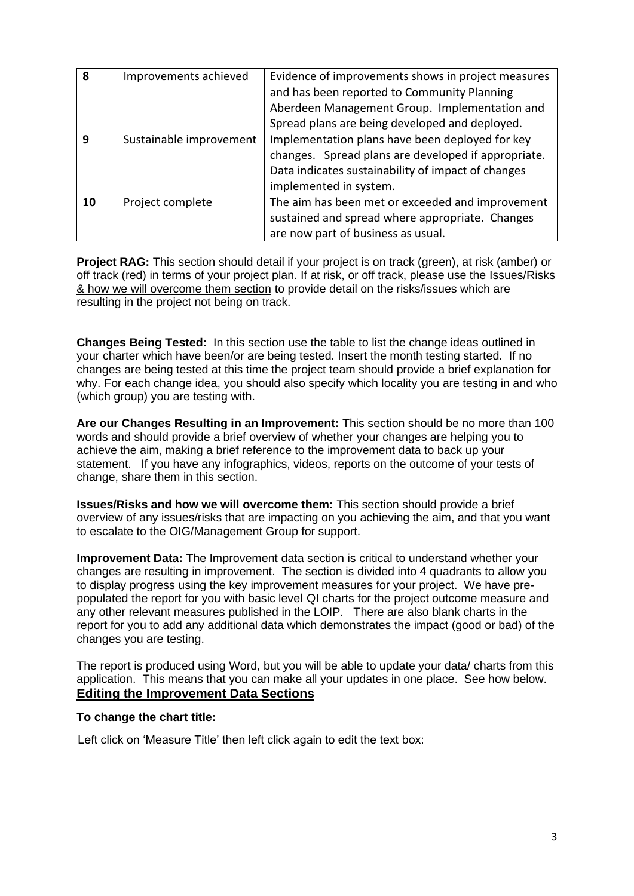| 8  | Improvements achieved   | Evidence of improvements shows in project measures  |  |  |  |  |  |
|----|-------------------------|-----------------------------------------------------|--|--|--|--|--|
|    |                         | and has been reported to Community Planning         |  |  |  |  |  |
|    |                         | Aberdeen Management Group. Implementation and       |  |  |  |  |  |
|    |                         | Spread plans are being developed and deployed.      |  |  |  |  |  |
| q  | Sustainable improvement | Implementation plans have been deployed for key     |  |  |  |  |  |
|    |                         | changes. Spread plans are developed if appropriate. |  |  |  |  |  |
|    |                         | Data indicates sustainability of impact of changes  |  |  |  |  |  |
|    |                         | implemented in system.                              |  |  |  |  |  |
| 10 | Project complete        | The aim has been met or exceeded and improvement    |  |  |  |  |  |
|    |                         | sustained and spread where appropriate. Changes     |  |  |  |  |  |
|    |                         | are now part of business as usual.                  |  |  |  |  |  |

**Project RAG:** This section should detail if your project is on track (green), at risk (amber) or off track (red) in terms of your project plan. If at risk, or off track, please use the Issues/Risks & how we will overcome them section to provide detail on the risks/issues which are resulting in the project not being on track.

**Changes Being Tested:** In this section use the table to list the change ideas outlined in your charter which have been/or are being tested. Insert the month testing started. If no changes are being tested at this time the project team should provide a brief explanation for why. For each change idea, you should also specify which locality you are testing in and who (which group) you are testing with.

**Are our Changes Resulting in an Improvement:** This section should be no more than 100 words and should provide a brief overview of whether your changes are helping you to achieve the aim, making a brief reference to the improvement data to back up your statement. If you have any infographics, videos, reports on the outcome of your tests of change, share them in this section.

**Issues/Risks and how we will overcome them:** This section should provide a brief overview of any issues/risks that are impacting on you achieving the aim, and that you want to escalate to the OIG/Management Group for support.

**Improvement Data:** The Improvement data section is critical to understand whether your changes are resulting in improvement. The section is divided into 4 quadrants to allow you to display progress using the key improvement measures for your project. We have prepopulated the report for you with basic level QI charts for the project outcome measure and any other relevant measures published in the LOIP. There are also blank charts in the report for you to add any additional data which demonstrates the impact (good or bad) of the changes you are testing.

The report is produced using Word, but you will be able to update your data/ charts from this application. This means that you can make all your updates in one place. See how below. **Editing the Improvement Data Sections**

#### **To change the chart title:**

Left click on 'Measure Title' then left click again to edit the text box: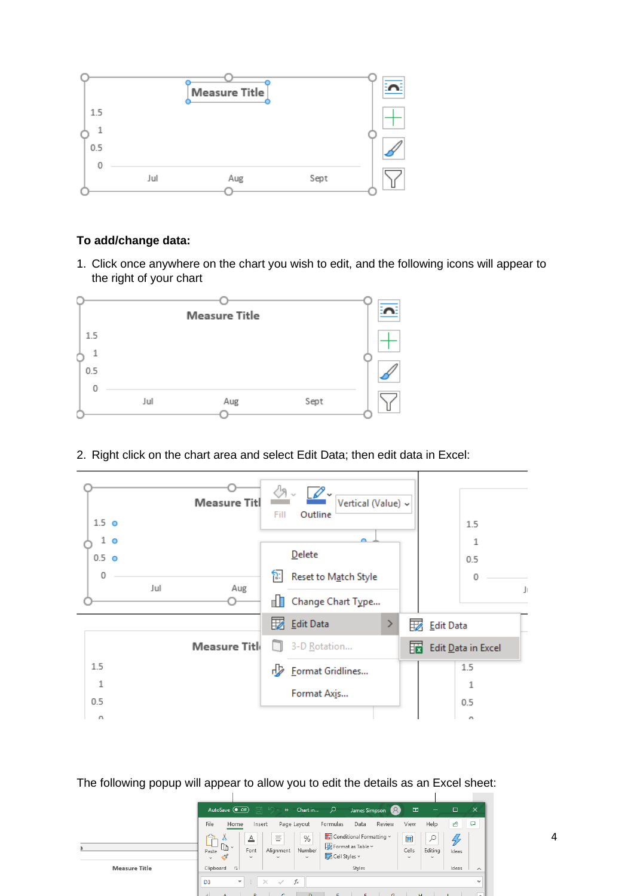

# **To add/change data:**

1. Click once anywhere on the chart you wish to edit, and the following icons will appear to the right of your chart



2. Right click on the chart area and select Edit Data; then edit data in Excel:



The following popup will appear to allow you to edit the details as an Excel sheet:

|                      | $\Box$ $\Box$ $\rightarrow$<br>Q<br>困<br>$\overline{\phantom{a}}$<br>Chart in<br>AutoSave $($ Off)<br>James Simpson<br>$\overline{\phantom{0}}$                                                                                                                                                                                      | $\times$<br>□          |
|----------------------|--------------------------------------------------------------------------------------------------------------------------------------------------------------------------------------------------------------------------------------------------------------------------------------------------------------------------------------|------------------------|
|                      | File<br>View<br>Help<br>Review<br>Formulas<br>Data<br>Home<br>Page Layout<br>Insert                                                                                                                                                                                                                                                  | ₽<br>₿                 |
|                      | Ó<br>Conditional Formatting v<br>畠<br>$\overline{\phantom{a}}$<br>%<br>▵<br>Ξ<br>$=$<br>$\boxed{\mathbb{P}} \sim$<br>Format as Table ~<br>Cells<br>Editing<br>Font<br>Alignment<br>Number<br>Paste<br>$\Box$ Cell Styles $\sim$<br>I<br>$\checkmark$<br>$\checkmark$<br>$\checkmark$<br>$\checkmark$<br>$\checkmark$<br>$\checkmark$ | Ideas                  |
| <b>Measure Title</b> | Clipboard<br><b>压</b><br>Styles                                                                                                                                                                                                                                                                                                      | Ideas<br>$\wedge$      |
|                      | $f_{\rm sc}$<br>÷<br>$\times$<br>D <sub>3</sub><br>$\overline{\phantom{a}}$<br>$\sim$<br><b>DOM: NO</b><br><b>Contract Contract Contract</b><br>$\mathbf{r}$ . The set of $\mathbf{r}$ and $\mathbf{r}$<br><b>CONTRACTOR</b><br>$\sim$<br>$\sim$                                                                                     | $\checkmark$<br>$\sim$ |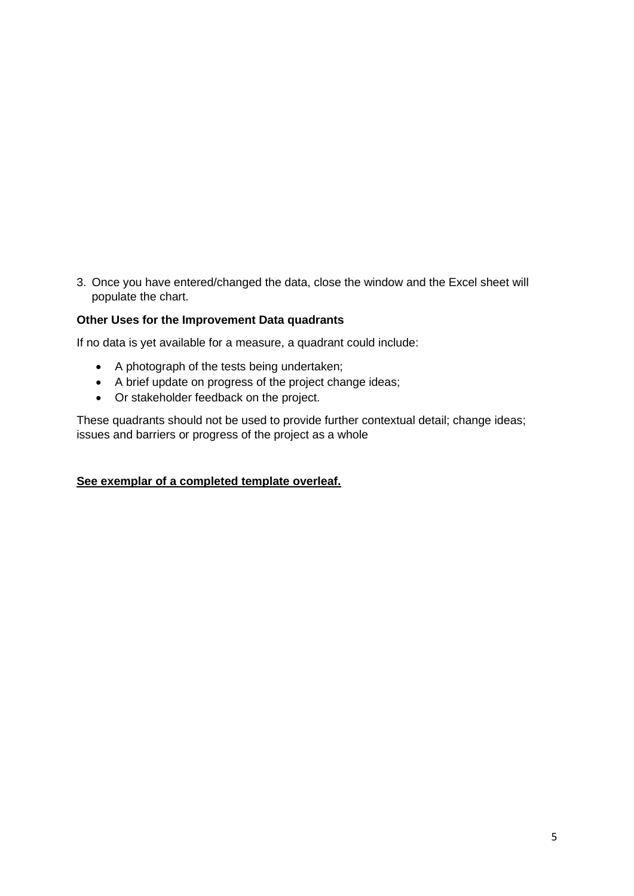3. Once you have entered/changed the data, close the window and the Excel sheet will populate the chart.

### **Other Uses for the Improvement Data quadrants**

If no data is yet available for a measure, a quadrant could include:

- A photograph of the tests being undertaken;
- A brief update on progress of the project change ideas;
- Or stakeholder feedback on the project.

These quadrants should not be used to provide further contextual detail; change ideas; issues and barriers or progress of the project as a whole

#### **See exemplar of a completed template overleaf.**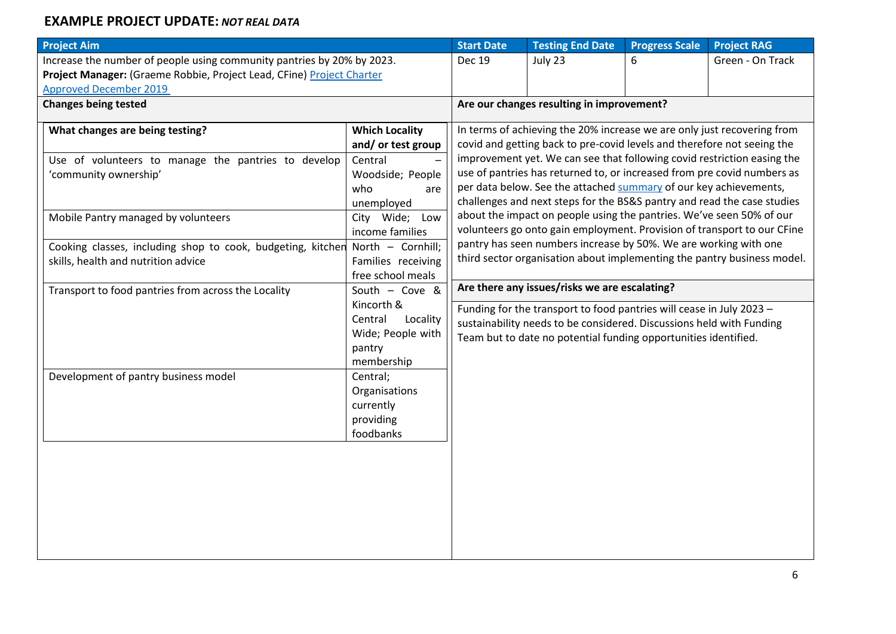# **EXAMPLE PROJECT UPDATE:** *NOT REAL DATA*

| <b>Project Aim</b>                                                            |                                                                         | <b>Start Date</b>                                                                                                                                                                                                             | <b>Testing End Date</b>                                                 | <b>Progress Scale</b> | <b>Project RAG</b> |  |  |  |  |  |
|-------------------------------------------------------------------------------|-------------------------------------------------------------------------|-------------------------------------------------------------------------------------------------------------------------------------------------------------------------------------------------------------------------------|-------------------------------------------------------------------------|-----------------------|--------------------|--|--|--|--|--|
| Increase the number of people using community pantries by 20% by 2023.        |                                                                         | <b>Dec 19</b>                                                                                                                                                                                                                 | July 23                                                                 | 6                     | Green - On Track   |  |  |  |  |  |
| Project Manager: (Graeme Robbie, Project Lead, CFine) Project Charter         |                                                                         |                                                                                                                                                                                                                               |                                                                         |                       |                    |  |  |  |  |  |
| <b>Approved December 2019</b>                                                 |                                                                         |                                                                                                                                                                                                                               |                                                                         |                       |                    |  |  |  |  |  |
| <b>Changes being tested</b>                                                   |                                                                         | Are our changes resulting in improvement?                                                                                                                                                                                     |                                                                         |                       |                    |  |  |  |  |  |
| What changes are being testing?                                               | In terms of achieving the 20% increase we are only just recovering from |                                                                                                                                                                                                                               |                                                                         |                       |                    |  |  |  |  |  |
|                                                                               | and/or test group                                                       | covid and getting back to pre-covid levels and therefore not seeing the<br>improvement yet. We can see that following covid restriction easing the<br>use of pantries has returned to, or increased from pre covid numbers as |                                                                         |                       |                    |  |  |  |  |  |
| Use of volunteers to manage the pantries to develop                           | Central                                                                 |                                                                                                                                                                                                                               |                                                                         |                       |                    |  |  |  |  |  |
| 'community ownership'                                                         | Woodside; People                                                        |                                                                                                                                                                                                                               |                                                                         |                       |                    |  |  |  |  |  |
|                                                                               | who<br>are                                                              |                                                                                                                                                                                                                               | per data below. See the attached summary of our key achievements,       |                       |                    |  |  |  |  |  |
|                                                                               | unemployed                                                              |                                                                                                                                                                                                                               | challenges and next steps for the BS&S pantry and read the case studies |                       |                    |  |  |  |  |  |
| Mobile Pantry managed by volunteers                                           | City Wide;<br>Low                                                       |                                                                                                                                                                                                                               | about the impact on people using the pantries. We've seen 50% of our    |                       |                    |  |  |  |  |  |
|                                                                               | income families                                                         |                                                                                                                                                                                                                               | volunteers go onto gain employment. Provision of transport to our CFine |                       |                    |  |  |  |  |  |
| Cooking classes, including shop to cook, budgeting, kitchen North - Cornhill; |                                                                         | pantry has seen numbers increase by 50%. We are working with one<br>third sector organisation about implementing the pantry business model.                                                                                   |                                                                         |                       |                    |  |  |  |  |  |
| skills, health and nutrition advice                                           | Families receiving                                                      |                                                                                                                                                                                                                               |                                                                         |                       |                    |  |  |  |  |  |
|                                                                               | free school meals                                                       |                                                                                                                                                                                                                               |                                                                         |                       |                    |  |  |  |  |  |
| Transport to food pantries from across the Locality                           | South $-$ Cove &                                                        | Are there any issues/risks we are escalating?                                                                                                                                                                                 |                                                                         |                       |                    |  |  |  |  |  |
|                                                                               | Kincorth &                                                              |                                                                                                                                                                                                                               | Funding for the transport to food pantries will cease in July 2023 -    |                       |                    |  |  |  |  |  |
|                                                                               | Central<br>Locality                                                     |                                                                                                                                                                                                                               | sustainability needs to be considered. Discussions held with Funding    |                       |                    |  |  |  |  |  |
|                                                                               | Wide; People with                                                       |                                                                                                                                                                                                                               | Team but to date no potential funding opportunities identified.         |                       |                    |  |  |  |  |  |
|                                                                               | pantry                                                                  |                                                                                                                                                                                                                               |                                                                         |                       |                    |  |  |  |  |  |
|                                                                               | membership                                                              |                                                                                                                                                                                                                               |                                                                         |                       |                    |  |  |  |  |  |
| Development of pantry business model                                          | Central;                                                                |                                                                                                                                                                                                                               |                                                                         |                       |                    |  |  |  |  |  |
|                                                                               | Organisations                                                           |                                                                                                                                                                                                                               |                                                                         |                       |                    |  |  |  |  |  |
|                                                                               | currently                                                               |                                                                                                                                                                                                                               |                                                                         |                       |                    |  |  |  |  |  |
|                                                                               | providing                                                               |                                                                                                                                                                                                                               |                                                                         |                       |                    |  |  |  |  |  |
|                                                                               | foodbanks                                                               |                                                                                                                                                                                                                               |                                                                         |                       |                    |  |  |  |  |  |
|                                                                               |                                                                         |                                                                                                                                                                                                                               |                                                                         |                       |                    |  |  |  |  |  |
|                                                                               |                                                                         |                                                                                                                                                                                                                               |                                                                         |                       |                    |  |  |  |  |  |
|                                                                               |                                                                         |                                                                                                                                                                                                                               |                                                                         |                       |                    |  |  |  |  |  |
|                                                                               |                                                                         |                                                                                                                                                                                                                               |                                                                         |                       |                    |  |  |  |  |  |
|                                                                               |                                                                         |                                                                                                                                                                                                                               |                                                                         |                       |                    |  |  |  |  |  |
|                                                                               |                                                                         |                                                                                                                                                                                                                               |                                                                         |                       |                    |  |  |  |  |  |
|                                                                               |                                                                         |                                                                                                                                                                                                                               |                                                                         |                       |                    |  |  |  |  |  |
|                                                                               |                                                                         |                                                                                                                                                                                                                               |                                                                         |                       |                    |  |  |  |  |  |